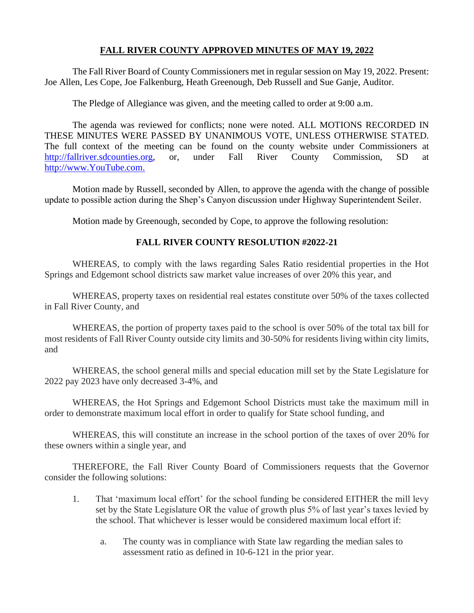# **FALL RIVER COUNTY APPROVED MINUTES OF MAY 19, 2022**

The Fall River Board of County Commissioners met in regular session on May 19, 2022. Present: Joe Allen, Les Cope, Joe Falkenburg, Heath Greenough, Deb Russell and Sue Ganje, Auditor.

The Pledge of Allegiance was given, and the meeting called to order at 9:00 a.m.

The agenda was reviewed for conflicts; none were noted. ALL MOTIONS RECORDED IN THESE MINUTES WERE PASSED BY UNANIMOUS VOTE, UNLESS OTHERWISE STATED. The full context of the meeting can be found on the county website under Commissioners at [http://fallriver.sdcounties.org,](http://fallriver.sdcounties.org/) or, under Fall River County Commission, SD at [http://www.YouTube.com.](http://www.youtube.com/)

Motion made by Russell, seconded by Allen, to approve the agenda with the change of possible update to possible action during the Shep's Canyon discussion under Highway Superintendent Seiler.

Motion made by Greenough, seconded by Cope, to approve the following resolution:

# **FALL RIVER COUNTY RESOLUTION #2022-21**

WHEREAS, to comply with the laws regarding Sales Ratio residential properties in the Hot Springs and Edgemont school districts saw market value increases of over 20% this year, and

WHEREAS, property taxes on residential real estates constitute over 50% of the taxes collected in Fall River County, and

WHEREAS, the portion of property taxes paid to the school is over 50% of the total tax bill for most residents of Fall River County outside city limits and 30-50% for residents living within city limits, and

WHEREAS, the school general mills and special education mill set by the State Legislature for 2022 pay 2023 have only decreased 3-4%, and

WHEREAS, the Hot Springs and Edgemont School Districts must take the maximum mill in order to demonstrate maximum local effort in order to qualify for State school funding, and

WHEREAS, this will constitute an increase in the school portion of the taxes of over 20% for these owners within a single year, and

THEREFORE, the Fall River County Board of Commissioners requests that the Governor consider the following solutions:

- 1. That 'maximum local effort' for the school funding be considered EITHER the mill levy set by the State Legislature OR the value of growth plus 5% of last year's taxes levied by the school. That whichever is lesser would be considered maximum local effort if:
	- a. The county was in compliance with State law regarding the median sales to assessment ratio as defined in 10-6-121 in the prior year.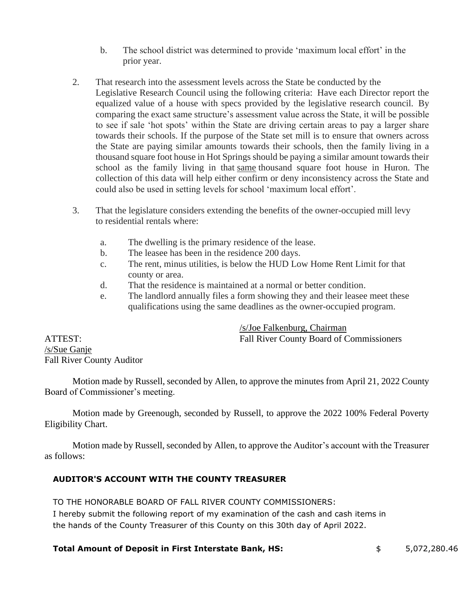- b. The school district was determined to provide 'maximum local effort' in the prior year.
- 2. That research into the assessment levels across the State be conducted by the Legislative Research Council using the following criteria: Have each Director report the equalized value of a house with specs provided by the legislative research council. By comparing the exact same structure's assessment value across the State, it will be possible to see if sale 'hot spots' within the State are driving certain areas to pay a larger share towards their schools. If the purpose of the State set mill is to ensure that owners across the State are paying similar amounts towards their schools, then the family living in a thousand square foot house in Hot Springs should be paying a similar amount towards their school as the family living in that same thousand square foot house in Huron. The collection of this data will help either confirm or deny inconsistency across the State and could also be used in setting levels for school 'maximum local effort'.
- 3. That the legislature considers extending the benefits of the owner-occupied mill levy to residential rentals where:
	- a. The dwelling is the primary residence of the lease.
	- b. The leasee has been in the residence 200 days.
	- c. The rent, minus utilities, is below the HUD Low Home Rent Limit for that county or area.
	- d. That the residence is maintained at a normal or better condition.
	- e. The landlord annually files a form showing they and their leasee meet these qualifications using the same deadlines as the owner-occupied program.

/s/Joe Falkenburg, Chairman ATTEST: Fall River County Board of Commissioners

/s/Sue Ganje Fall River County Auditor

Motion made by Russell, seconded by Allen, to approve the minutes from April 21, 2022 County Board of Commissioner's meeting.

Motion made by Greenough, seconded by Russell, to approve the 2022 100% Federal Poverty Eligibility Chart.

Motion made by Russell, seconded by Allen, to approve the Auditor's account with the Treasurer as follows:

# **AUDITOR'S ACCOUNT WITH THE COUNTY TREASURER**

TO THE HONORABLE BOARD OF FALL RIVER COUNTY COMMISSIONERS:

I hereby submit the following report of my examination of the cash and cash items in the hands of the County Treasurer of this County on this 30th day of April 2022.

### **Total Amount of Deposit in First Interstate Bank, HS:** \$ 5,072,280.46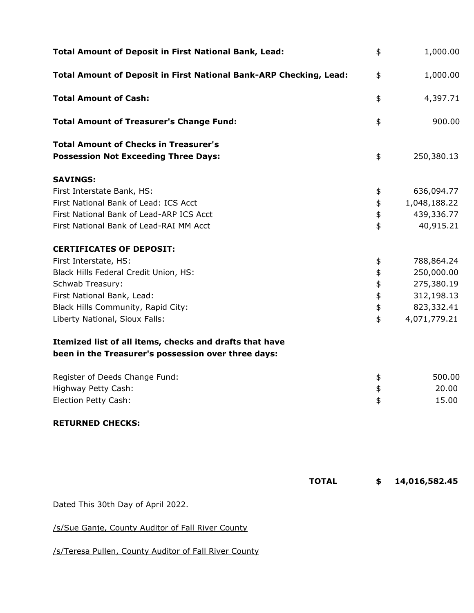| <b>Total Amount of Deposit in First National Bank, Lead:</b>                                | \$<br>1,000.00      |
|---------------------------------------------------------------------------------------------|---------------------|
| Total Amount of Deposit in First National Bank-ARP Checking, Lead:                          | \$<br>1,000.00      |
| <b>Total Amount of Cash:</b>                                                                | \$<br>4,397.71      |
| <b>Total Amount of Treasurer's Change Fund:</b>                                             | \$<br>900.00        |
| <b>Total Amount of Checks in Treasurer's</b><br><b>Possession Not Exceeding Three Days:</b> | \$<br>250,380.13    |
| <b>SAVINGS:</b>                                                                             |                     |
| First Interstate Bank, HS:                                                                  | \$<br>636,094.77    |
| First National Bank of Lead: ICS Acct                                                       | \$<br>1,048,188.22  |
| First National Bank of Lead-ARP ICS Acct                                                    | \$<br>439,336.77    |
| First National Bank of Lead-RAI MM Acct                                                     | \$<br>40,915.21     |
| <b>CERTIFICATES OF DEPOSIT:</b>                                                             |                     |
| First Interstate, HS:                                                                       | \$<br>788,864.24    |
| Black Hills Federal Credit Union, HS:                                                       | \$<br>250,000.00    |
| Schwab Treasury:                                                                            | \$<br>275,380.19    |
| First National Bank, Lead:                                                                  | \$<br>312,198.13    |
| Black Hills Community, Rapid City:                                                          | \$<br>823,332.41    |
| Liberty National, Sioux Falls:                                                              | \$<br>4,071,779.21  |
| Itemized list of all items, checks and drafts that have                                     |                     |
| been in the Treasurer's possession over three days:                                         |                     |
| Register of Deeds Change Fund:                                                              | \$<br>500.00        |
| Highway Petty Cash:                                                                         | \$<br>20.00         |
| Election Petty Cash:                                                                        | \$<br>15.00         |
| <b>RETURNED CHECKS:</b>                                                                     |                     |
|                                                                                             |                     |
| <b>TOTAL</b>                                                                                | \$<br>14,016,582.45 |
| Dated This 30th Day of April 2022.                                                          |                     |

/s/Sue Ganje, County Auditor of Fall River County

/s/Teresa Pullen, County Auditor of Fall River County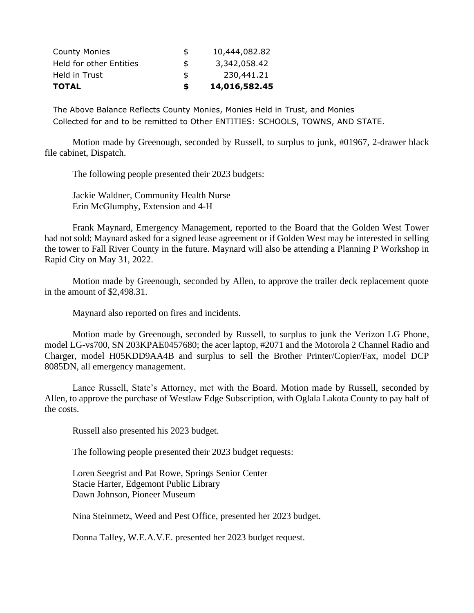| <b>TOTAL</b>            | \$ | 14,016,582.45 |
|-------------------------|----|---------------|
| Held in Trust           | \$ | 230,441.21    |
| Held for other Entities | \$ | 3,342,058.42  |
| <b>County Monies</b>    | S  | 10,444,082.82 |

The Above Balance Reflects County Monies, Monies Held in Trust, and Monies Collected for and to be remitted to Other ENTITIES: SCHOOLS, TOWNS, AND STATE.

Motion made by Greenough, seconded by Russell, to surplus to junk, #01967, 2-drawer black file cabinet, Dispatch.

The following people presented their 2023 budgets:

Jackie Waldner, Community Health Nurse Erin McGlumphy, Extension and 4-H

Frank Maynard, Emergency Management, reported to the Board that the Golden West Tower had not sold; Maynard asked for a signed lease agreement or if Golden West may be interested in selling the tower to Fall River County in the future. Maynard will also be attending a Planning P Workshop in Rapid City on May 31, 2022.

Motion made by Greenough, seconded by Allen, to approve the trailer deck replacement quote in the amount of \$2,498.31.

Maynard also reported on fires and incidents.

Motion made by Greenough, seconded by Russell, to surplus to junk the Verizon LG Phone, model LG-vs700, SN 203KPAE0457680; the acer laptop, #2071 and the Motorola 2 Channel Radio and Charger, model H05KDD9AA4B and surplus to sell the Brother Printer/Copier/Fax, model DCP 8085DN, all emergency management.

Lance Russell, State's Attorney, met with the Board. Motion made by Russell, seconded by Allen, to approve the purchase of Westlaw Edge Subscription, with Oglala Lakota County to pay half of the costs.

Russell also presented his 2023 budget.

The following people presented their 2023 budget requests:

Loren Seegrist and Pat Rowe, Springs Senior Center Stacie Harter, Edgemont Public Library Dawn Johnson, Pioneer Museum

Nina Steinmetz, Weed and Pest Office, presented her 2023 budget.

Donna Talley, W.E.A.V.E. presented her 2023 budget request.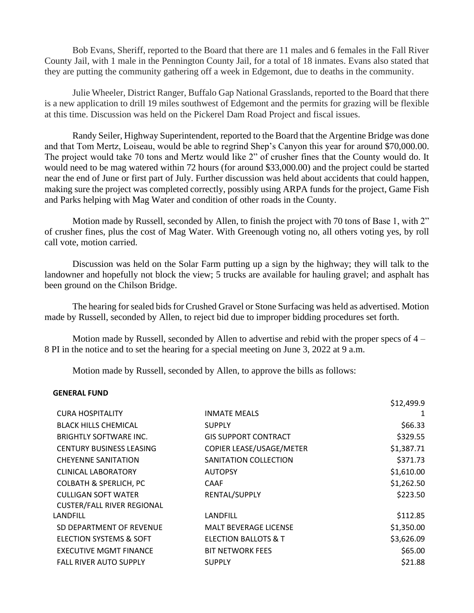Bob Evans, Sheriff, reported to the Board that there are 11 males and 6 females in the Fall River County Jail, with 1 male in the Pennington County Jail, for a total of 18 inmates. Evans also stated that they are putting the community gathering off a week in Edgemont, due to deaths in the community.

Julie Wheeler, District Ranger, Buffalo Gap National Grasslands, reported to the Board that there is a new application to drill 19 miles southwest of Edgemont and the permits for grazing will be flexible at this time. Discussion was held on the Pickerel Dam Road Project and fiscal issues.

Randy Seiler, Highway Superintendent, reported to the Board that the Argentine Bridge was done and that Tom Mertz, Loiseau, would be able to regrind Shep's Canyon this year for around \$70,000.00. The project would take 70 tons and Mertz would like 2" of crusher fines that the County would do. It would need to be mag watered within 72 hours (for around \$33,000.00) and the project could be started near the end of June or first part of July. Further discussion was held about accidents that could happen, making sure the project was completed correctly, possibly using ARPA funds for the project, Game Fish and Parks helping with Mag Water and condition of other roads in the County.

Motion made by Russell, seconded by Allen, to finish the project with 70 tons of Base 1, with 2" of crusher fines, plus the cost of Mag Water. With Greenough voting no, all others voting yes, by roll call vote, motion carried.

Discussion was held on the Solar Farm putting up a sign by the highway; they will talk to the landowner and hopefully not block the view; 5 trucks are available for hauling gravel; and asphalt has been ground on the Chilson Bridge.

The hearing for sealed bids for Crushed Gravel or Stone Surfacing was held as advertised. Motion made by Russell, seconded by Allen, to reject bid due to improper bidding procedures set forth.

Motion made by Russell, seconded by Allen to advertise and rebid with the proper specs of  $4 -$ 8 PI in the notice and to set the hearing for a special meeting on June 3, 2022 at 9 a.m.

Motion made by Russell, seconded by Allen, to approve the bills as follows:

#### **GENERAL FUND**

|                                   |                              | \$12,499.9 |
|-----------------------------------|------------------------------|------------|
| <b>CURA HOSPITALITY</b>           | INMATE MEALS                 | 1          |
| <b>BLACK HILLS CHEMICAL</b>       | <b>SUPPLY</b>                | \$66.33    |
| <b>BRIGHTLY SOFTWARE INC.</b>     | <b>GIS SUPPORT CONTRACT</b>  | \$329.55   |
| <b>CENTURY BUSINESS LEASING</b>   | COPIER LEASE/USAGE/METER     | \$1,387.71 |
| <b>CHEYENNE SANITATION</b>        | SANITATION COLLECTION        | \$371.73   |
| <b>CLINICAL LABORATORY</b>        | <b>AUTOPSY</b>               | \$1,610.00 |
| <b>COLBATH &amp; SPERLICH, PC</b> | CAAF                         | \$1,262.50 |
| <b>CULLIGAN SOFT WATER</b>        | RENTAL/SUPPLY                | \$223.50   |
| <b>CUSTER/FALL RIVER REGIONAL</b> |                              |            |
| LANDFILL                          | LANDFILL                     | \$112.85   |
| SD DEPARTMENT OF REVENUE          | <b>MALT BEVERAGE LICENSE</b> | \$1,350.00 |
| ELECTION SYSTEMS & SOFT           | ELECTION BALLOTS & T         | \$3,626.09 |
| EXECUTIVE MGMT FINANCE            | <b>BIT NETWORK FEES</b>      | \$65.00    |
| <b>FALL RIVER AUTO SUPPLY</b>     | <b>SUPPLY</b>                | \$21.88    |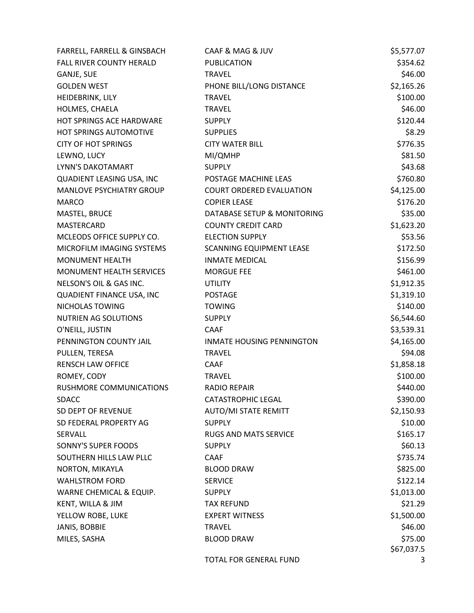| FARRELL, FARRELL & GINSBACH | CAAF & MAG & JUV                 | \$5,577.07 |
|-----------------------------|----------------------------------|------------|
| FALL RIVER COUNTY HERALD    | <b>PUBLICATION</b>               | \$354.62   |
| GANJE, SUE                  | <b>TRAVEL</b>                    | \$46.00    |
| <b>GOLDEN WEST</b>          | PHONE BILL/LONG DISTANCE         | \$2,165.26 |
| HEIDEBRINK, LILY            | <b>TRAVEL</b>                    | \$100.00   |
| HOLMES, CHAELA              | <b>TRAVEL</b>                    | \$46.00    |
| HOT SPRINGS ACE HARDWARE    | <b>SUPPLY</b>                    | \$120.44   |
| HOT SPRINGS AUTOMOTIVE      | <b>SUPPLIES</b>                  | \$8.29     |
| <b>CITY OF HOT SPRINGS</b>  | <b>CITY WATER BILL</b>           | \$776.35   |
| LEWNO, LUCY                 | MI/QMHP                          | \$81.50    |
| LYNN'S DAKOTAMART           | <b>SUPPLY</b>                    | \$43.68    |
| QUADIENT LEASING USA, INC   | POSTAGE MACHINE LEAS             | \$760.80   |
| MANLOVE PSYCHIATRY GROUP    | <b>COURT ORDERED EVALUATION</b>  | \$4,125.00 |
| <b>MARCO</b>                | <b>COPIER LEASE</b>              | \$176.20   |
| MASTEL, BRUCE               | DATABASE SETUP & MONITORING      | \$35.00    |
| MASTERCARD                  | <b>COUNTY CREDIT CARD</b>        | \$1,623.20 |
| MCLEODS OFFICE SUPPLY CO.   | <b>ELECTION SUPPLY</b>           | \$53.56    |
| MICROFILM IMAGING SYSTEMS   | SCANNING EQUIPMENT LEASE         | \$172.50   |
| <b>MONUMENT HEALTH</b>      | <b>INMATE MEDICAL</b>            | \$156.99   |
| MONUMENT HEALTH SERVICES    | <b>MORGUE FEE</b>                | \$461.00   |
| NELSON'S OIL & GAS INC.     | <b>UTILITY</b>                   | \$1,912.35 |
| QUADIENT FINANCE USA, INC   | <b>POSTAGE</b>                   | \$1,319.10 |
| NICHOLAS TOWING             | <b>TOWING</b>                    | \$140.00   |
| <b>NUTRIEN AG SOLUTIONS</b> | <b>SUPPLY</b>                    | \$6,544.60 |
| O'NEILL, JUSTIN             | <b>CAAF</b>                      | \$3,539.31 |
| PENNINGTON COUNTY JAIL      | <b>INMATE HOUSING PENNINGTON</b> | \$4,165.00 |
| PULLEN, TERESA              | <b>TRAVEL</b>                    | \$94.08    |
| RENSCH LAW OFFICE           | CAAF                             | \$1,858.18 |
| ROMEY, CODY                 | <b>TRAVEL</b>                    | \$100.00   |
| RUSHMORE COMMUNICATIONS     | <b>RADIO REPAIR</b>              | \$440.00   |
| <b>SDACC</b>                | <b>CATASTROPHIC LEGAL</b>        | \$390.00   |
| SD DEPT OF REVENUE          | <b>AUTO/MI STATE REMITT</b>      | \$2,150.93 |
| SD FEDERAL PROPERTY AG      | <b>SUPPLY</b>                    | \$10.00    |
| SERVALL                     | <b>RUGS AND MATS SERVICE</b>     | \$165.17   |
| SONNY'S SUPER FOODS         | <b>SUPPLY</b>                    | \$60.13    |
| SOUTHERN HILLS LAW PLLC     | <b>CAAF</b>                      | \$735.74   |
| NORTON, MIKAYLA             | <b>BLOOD DRAW</b>                | \$825.00   |
| <b>WAHLSTROM FORD</b>       | <b>SERVICE</b>                   | \$122.14   |
| WARNE CHEMICAL & EQUIP.     | <b>SUPPLY</b>                    | \$1,013.00 |
| KENT, WILLA & JIM           | <b>TAX REFUND</b>                | \$21.29    |
| YELLOW ROBE, LUKE           | <b>EXPERT WITNESS</b>            | \$1,500.00 |
| JANIS, BOBBIE               | <b>TRAVEL</b>                    | \$46.00    |
| MILES, SASHA                | <b>BLOOD DRAW</b>                | \$75.00    |
|                             |                                  | \$67,037.5 |
|                             | TOTAL FOR GENERAL FUND           | 3          |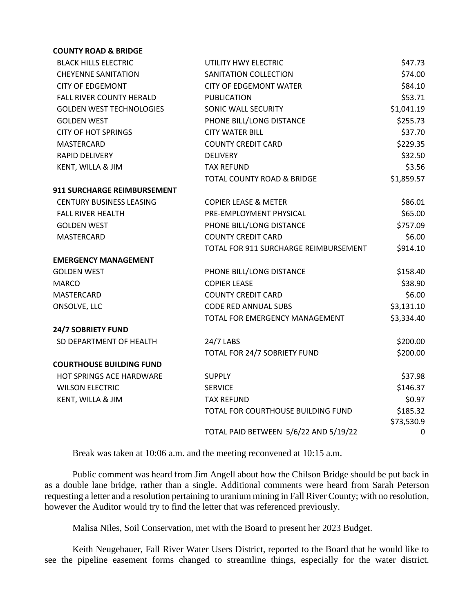#### **COUNTY ROAD & BRIDGE**

| <b>BLACK HILLS ELECTRIC</b>        | UTILITY HWY ELECTRIC                  | \$47.73    |
|------------------------------------|---------------------------------------|------------|
| <b>CHEYENNE SANITATION</b>         | SANITATION COLLECTION                 | \$74.00    |
| <b>CITY OF EDGEMONT</b>            | <b>CITY OF EDGEMONT WATER</b>         | \$84.10    |
| <b>FALL RIVER COUNTY HERALD</b>    | <b>PUBLICATION</b>                    | \$53.71    |
| <b>GOLDEN WEST TECHNOLOGIES</b>    | SONIC WALL SECURITY                   | \$1,041.19 |
| <b>GOLDEN WEST</b>                 | PHONE BILL/LONG DISTANCE              | \$255.73   |
| <b>CITY OF HOT SPRINGS</b>         | <b>CITY WATER BILL</b>                | \$37.70    |
| <b>MASTERCARD</b>                  | <b>COUNTY CREDIT CARD</b>             | \$229.35   |
| <b>RAPID DELIVERY</b>              | <b>DELIVERY</b>                       | \$32.50    |
| KENT, WILLA & JIM                  | <b>TAX REFUND</b>                     | \$3.56     |
|                                    | <b>TOTAL COUNTY ROAD &amp; BRIDGE</b> | \$1,859.57 |
| <b>911 SURCHARGE REIMBURSEMENT</b> |                                       |            |
| <b>CENTURY BUSINESS LEASING</b>    | <b>COPIER LEASE &amp; METER</b>       | \$86.01    |
| <b>FALL RIVER HEALTH</b>           | PRE-EMPLOYMENT PHYSICAL               | \$65.00    |
| <b>GOLDEN WEST</b>                 | PHONE BILL/LONG DISTANCE              | \$757.09   |
| MASTERCARD                         | <b>COUNTY CREDIT CARD</b>             | \$6.00     |
|                                    | TOTAL FOR 911 SURCHARGE REIMBURSEMENT | \$914.10   |
| <b>EMERGENCY MANAGEMENT</b>        |                                       |            |
| <b>GOLDEN WEST</b>                 | PHONE BILL/LONG DISTANCE              | \$158.40   |
| <b>MARCO</b>                       | <b>COPIER LEASE</b>                   | \$38.90    |
| MASTERCARD                         | <b>COUNTY CREDIT CARD</b>             | \$6.00     |
| ONSOLVE, LLC                       | <b>CODE RED ANNUAL SUBS</b>           | \$3,131.10 |
|                                    | TOTAL FOR EMERGENCY MANAGEMENT        | \$3,334.40 |
| <b>24/7 SOBRIETY FUND</b>          |                                       |            |
| SD DEPARTMENT OF HEALTH            | 24/7 LABS                             | \$200.00   |
|                                    | TOTAL FOR 24/7 SOBRIETY FUND          | \$200.00   |
| <b>COURTHOUSE BUILDING FUND</b>    |                                       |            |
| HOT SPRINGS ACE HARDWARE           | <b>SUPPLY</b>                         | \$37.98    |
| <b>WILSON ELECTRIC</b>             | <b>SERVICE</b>                        | \$146.37   |
| KENT, WILLA & JIM                  | <b>TAX REFUND</b>                     | \$0.97     |
|                                    | TOTAL FOR COURTHOUSE BUILDING FUND    | \$185.32   |
|                                    |                                       | \$73,530.9 |
|                                    | TOTAL PAID BETWEEN 5/6/22 AND 5/19/22 | 0          |

Break was taken at 10:06 a.m. and the meeting reconvened at 10:15 a.m.

Public comment was heard from Jim Angell about how the Chilson Bridge should be put back in as a double lane bridge, rather than a single. Additional comments were heard from Sarah Peterson requesting a letter and a resolution pertaining to uranium mining in Fall River County; with no resolution, however the Auditor would try to find the letter that was referenced previously.

Malisa Niles, Soil Conservation, met with the Board to present her 2023 Budget.

Keith Neugebauer, Fall River Water Users District, reported to the Board that he would like to see the pipeline easement forms changed to streamline things, especially for the water district.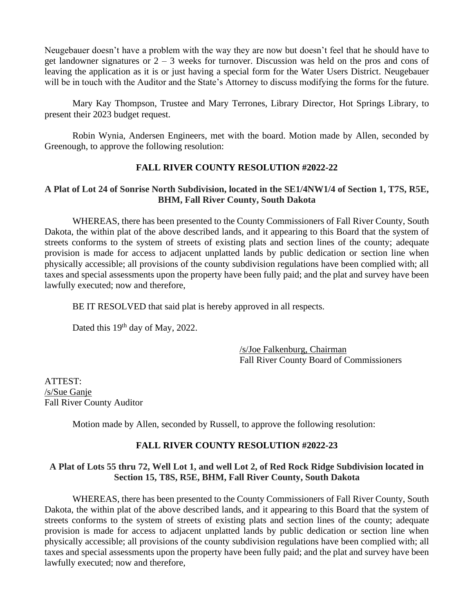Neugebauer doesn't have a problem with the way they are now but doesn't feel that he should have to get landowner signatures or 2 – 3 weeks for turnover. Discussion was held on the pros and cons of leaving the application as it is or just having a special form for the Water Users District. Neugebauer will be in touch with the Auditor and the State's Attorney to discuss modifying the forms for the future.

Mary Kay Thompson, Trustee and Mary Terrones, Library Director, Hot Springs Library, to present their 2023 budget request.

Robin Wynia, Andersen Engineers, met with the board. Motion made by Allen, seconded by Greenough, to approve the following resolution:

## **FALL RIVER COUNTY RESOLUTION #2022-22**

### **A Plat of Lot 24 of Sonrise North Subdivision, located in the SE1/4NW1/4 of Section 1, T7S, R5E, BHM, Fall River County, South Dakota**

WHEREAS, there has been presented to the County Commissioners of Fall River County, South Dakota, the within plat of the above described lands, and it appearing to this Board that the system of streets conforms to the system of streets of existing plats and section lines of the county; adequate provision is made for access to adjacent unplatted lands by public dedication or section line when physically accessible; all provisions of the county subdivision regulations have been complied with; all taxes and special assessments upon the property have been fully paid; and the plat and survey have been lawfully executed; now and therefore,

BE IT RESOLVED that said plat is hereby approved in all respects.

Dated this 19<sup>th</sup> day of May, 2022.

/s/Joe Falkenburg, Chairman Fall River County Board of Commissioners

ATTEST: /s/Sue Ganje Fall River County Auditor

Motion made by Allen, seconded by Russell, to approve the following resolution:

### **FALL RIVER COUNTY RESOLUTION #2022-23**

## **A Plat of Lots 55 thru 72, Well Lot 1, and well Lot 2, of Red Rock Ridge Subdivision located in Section 15, T8S, R5E, BHM, Fall River County, South Dakota**

WHEREAS, there has been presented to the County Commissioners of Fall River County, South Dakota, the within plat of the above described lands, and it appearing to this Board that the system of streets conforms to the system of streets of existing plats and section lines of the county; adequate provision is made for access to adjacent unplatted lands by public dedication or section line when physically accessible; all provisions of the county subdivision regulations have been complied with; all taxes and special assessments upon the property have been fully paid; and the plat and survey have been lawfully executed; now and therefore,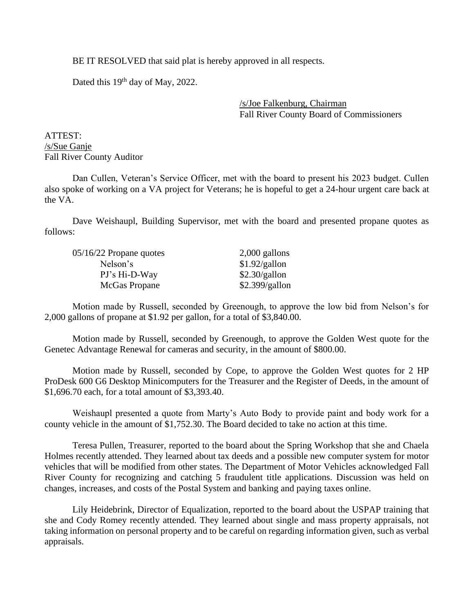BE IT RESOLVED that said plat is hereby approved in all respects.

Dated this 19<sup>th</sup> day of May, 2022.

/s/Joe Falkenburg, Chairman Fall River County Board of Commissioners

ATTEST: /s/Sue Ganje Fall River County Auditor

Dan Cullen, Veteran's Service Officer, met with the board to present his 2023 budget. Cullen also spoke of working on a VA project for Veterans; he is hopeful to get a 24-hour urgent care back at the VA.

Dave Weishaupl, Building Supervisor, met with the board and presented propane quotes as follows:

| 05/16/22 Propane quotes | $2,000$ gallons |
|-------------------------|-----------------|
| Nelson's                | \$1.92/gallon   |
| PJ's Hi-D-Way           | \$2.30/gallon   |
| McGas Propane           | \$2.399/gallon  |

Motion made by Russell, seconded by Greenough, to approve the low bid from Nelson's for 2,000 gallons of propane at \$1.92 per gallon, for a total of \$3,840.00.

Motion made by Russell, seconded by Greenough, to approve the Golden West quote for the Genetec Advantage Renewal for cameras and security, in the amount of \$800.00.

Motion made by Russell, seconded by Cope, to approve the Golden West quotes for 2 HP ProDesk 600 G6 Desktop Minicomputers for the Treasurer and the Register of Deeds, in the amount of \$1,696.70 each, for a total amount of \$3,393.40.

Weishaupl presented a quote from Marty's Auto Body to provide paint and body work for a county vehicle in the amount of \$1,752.30. The Board decided to take no action at this time.

Teresa Pullen, Treasurer, reported to the board about the Spring Workshop that she and Chaela Holmes recently attended. They learned about tax deeds and a possible new computer system for motor vehicles that will be modified from other states. The Department of Motor Vehicles acknowledged Fall River County for recognizing and catching 5 fraudulent title applications. Discussion was held on changes, increases, and costs of the Postal System and banking and paying taxes online.

Lily Heidebrink, Director of Equalization, reported to the board about the USPAP training that she and Cody Romey recently attended. They learned about single and mass property appraisals, not taking information on personal property and to be careful on regarding information given, such as verbal appraisals.